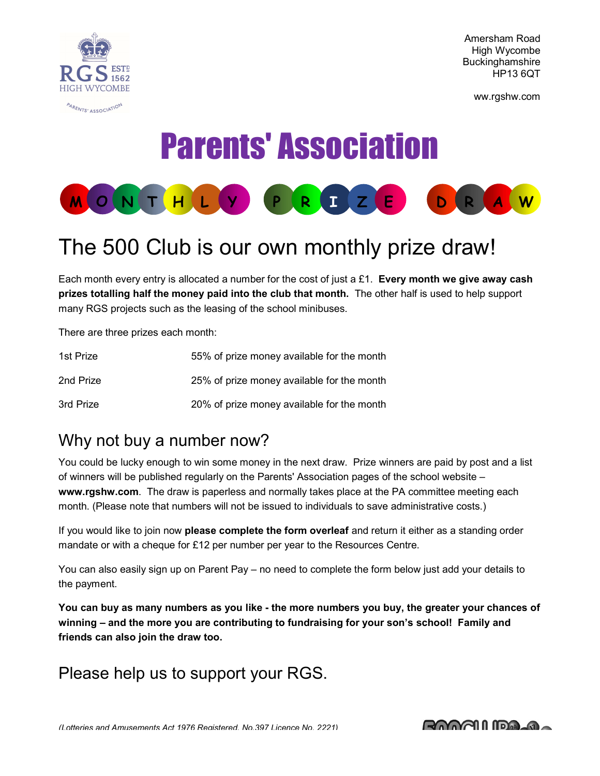

Amersham Road High Wycombe **Buckinghamshire** HP13 6QT

ww.rgshw.com

# Parents' Association



## The 500 Club is our own monthly prize draw!

Each month every entry is allocated a number for the cost of just a £1. Every month we give away cash prizes totalling half the money paid into the club that month. The other half is used to help support many RGS projects such as the leasing of the school minibuses.

There are three prizes each month:

| 1st Prize | 55% of prize money available for the month |
|-----------|--------------------------------------------|
| 2nd Prize | 25% of prize money available for the month |
| 3rd Prize | 20% of prize money available for the month |

### Why not buy a number now?

You could be lucky enough to win some money in the next draw. Prize winners are paid by post and a list of winners will be published regularly on the Parents' Association pages of the school website – www.rgshw.com. The draw is paperless and normally takes place at the PA committee meeting each month. (Please note that numbers will not be issued to individuals to save administrative costs.)

If you would like to join now please complete the form overleaf and return it either as a standing order mandate or with a cheque for £12 per number per year to the Resources Centre.

You can also easily sign up on Parent Pay – no need to complete the form below just add your details to the payment.

You can buy as many numbers as you like - the more numbers you buy, the greater your chances of winning – and the more you are contributing to fundraising for your son's school! Family and friends can also join the draw too.

Please help us to support your RGS.